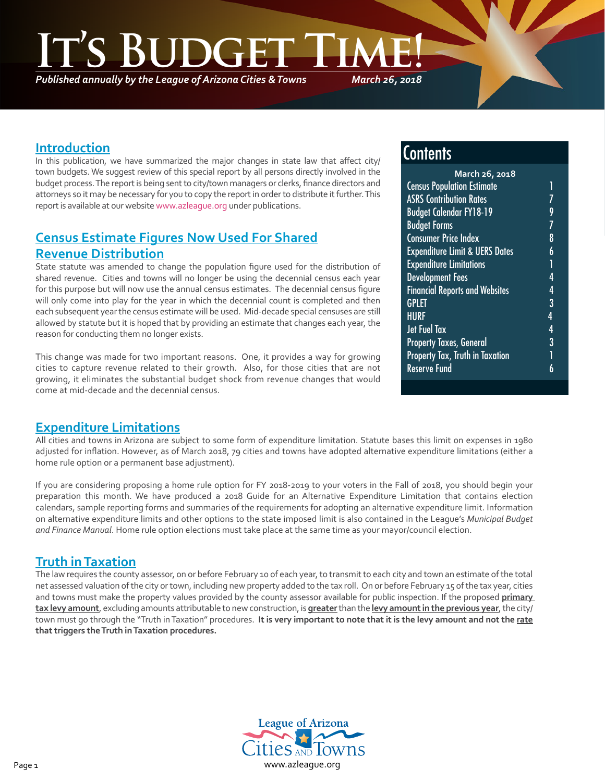*Published annually by the League of Arizona Cities & Towns*

*March 26, 2018*

### **Introduction**

٦

In this publication, we have summarized the major changes in state law that affect city/ town budgets. We suggest review of this special report by all persons directly involved in the budget process. The report is being sent to city/town managers or clerks, finance directors and attorneys so it may be necessary for you to copy the report in order to distribute it further. This report is available at our website [www.azleague.org](http://www.azleague.org) under publications.

# **Census Estimate Figures Now Used For Shared Revenue Distribution**

State statute was amended to change the population figure used for the distribution of shared revenue. Cities and towns will no longer be using the decennial census each year for this purpose but will now use the annual census estimates. The decennial census figure will only come into play for the year in which the decennial count is completed and then each subsequent year the census estimate will be used. Mid-decade special censuses are still allowed by statute but it is hoped that by providing an estimate that changes each year, the reason for conducting them no longer exists.

This change was made for two important reasons. One, it provides a way for growing cities to capture revenue related to their growth. Also, for those cities that are not growing, it eliminates the substantial budget shock from revenue changes that would come at mid-decade and the decennial census.

# **Contents**

| March 26, 2018                            |   |  |
|-------------------------------------------|---|--|
| <b>Census Population Estimate</b>         |   |  |
| <b>ASRS Contribution Rates</b>            |   |  |
| <b>Budget Calendar FY18-19</b>            | 9 |  |
| <b>Budget Forms</b>                       |   |  |
| <b>Consumer Price Index</b>               | 8 |  |
| <b>Expenditure Limit &amp; UERS Dates</b> | 6 |  |
| <b>Expenditure Limitations</b>            |   |  |
| <b>Development Fees</b>                   | 4 |  |
| <b>Financial Reports and Websites</b>     | 4 |  |
| <b>GPLET</b>                              | 3 |  |
| <b>HURF</b>                               | 4 |  |
| <b>Jet Fuel Tax</b>                       | 4 |  |
| <b>Property Taxes, General</b>            | 3 |  |
| <b>Property Tax, Truth in Taxation</b>    |   |  |
| <b>Reserve Fund</b>                       | 6 |  |
|                                           |   |  |

### **Expenditure Limitations**

All cities and towns in Arizona are subject to some form of expenditure limitation. Statute bases this limit on expenses in 1980 adjusted for inflation. However, as of March 2018, 79 cities and towns have adopted alternative expenditure limitations (either a home rule option or a permanent base adjustment).

If you are considering proposing a home rule option for FY 2018-2019 to your voters in the Fall of 2018, you should begin your preparation this month. We have produced a 2018 Guide for an Alternative Expenditure Limitation that contains election calendars, sample reporting forms and summaries of the requirements for adopting an alternative expenditure limit. Information on alternative expenditure limits and other options to the state imposed limit is also contained in the League's *Municipal Budget and Finance Manual*. Home rule option elections must take place at the same time as your mayor/council election.

## **Truth in Taxation**

The law requires the county assessor, on or before February 10 of each year, to transmit to each city and town an estimate of the total net assessed valuation of the city or town, including new property added to the tax roll. On or before February 15 of the tax year, cities and towns must make the property values provided by the county assessor available for public inspection. If the proposed **primary tax levy amount**, excluding amounts attributable to new construction, is **greater** than the **levy amount in the previous year**, the city/ town must go through the "Truth in Taxation" procedures. **It is very important to note that it is the levy amount and not the rate that triggers the Truth in Taxation procedures.**

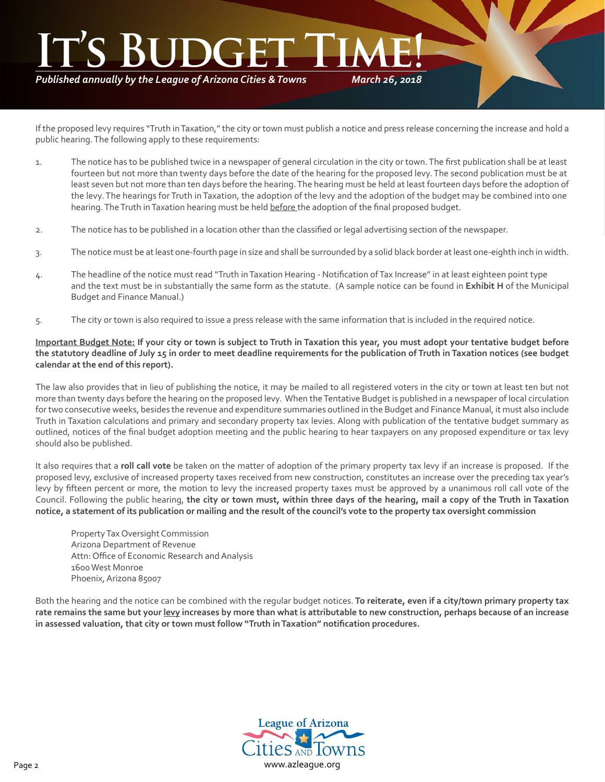*Published annually by the League of Arizona Cities & Towns*

*March 26, 2018*

If the proposed levy requires "Truth in Taxation," the city or town must publish a notice and press release concerning the increase and hold a public hearing. The following apply to these requirements:

- 1. The notice has to be published twice in a newspaper of general circulation in the city or town. The first publication shall be at least fourteen but not more than twenty days before the date of the hearing for the proposed levy. The second publication must be at least seven but not more than ten days before the hearing. The hearing must be held at least fourteen days before the adoption of the levy. The hearings for Truth in Taxation, the adoption of the levy and the adoption of the budget may be combined into one hearing. The Truth in Taxation hearing must be held before the adoption of the final proposed budget.
- 2. The notice has to be published in a location other than the classified or legal advertising section of the newspaper.
- 3. The notice must be at least one-fourth page in size and shall be surrounded by a solid black border at least one-eighth inch in width.
- 4. The headline of the notice must read "Truth in Taxation Hearing Notification of Tax Increase" in at least eighteen point type and the text must be in substantially the same form as the statute. (A sample notice can be found in **Exhibit H** of the Municipal Budget and Finance Manual.)
- 5. The city or town is also required to issue a press release with the same information that is included in the required notice.

#### **Important Budget Note: If your city or town is subject to Truth in Taxation this year, you must adopt your tentative budget before the statutory deadline of July 15 in order to meet deadline requirements for the publication of Truth in Taxation notices (see budget calendar at the end of this report).**

The law also provides that in lieu of publishing the notice, it may be mailed to all registered voters in the city or town at least ten but not more than twenty days before the hearing on the proposed levy. When the Tentative Budget is published in a newspaper of local circulation for two consecutive weeks, besides the revenue and expenditure summaries outlined in the Budget and Finance Manual, it must also include Truth in Taxation calculations and primary and secondary property tax levies. Along with publication of the tentative budget summary as outlined, notices of the final budget adoption meeting and the public hearing to hear taxpayers on any proposed expenditure or tax levy should also be published.

It also requires that a **roll call vote** be taken on the matter of adoption of the primary property tax levy if an increase is proposed. If the proposed levy, exclusive of increased property taxes received from new construction, constitutes an increase over the preceding tax year's levy by fifteen percent or more, the motion to levy the increased property taxes must be approved by a unanimous roll call vote of the Council. Following the public hearing, **the city or town must, within three days of the hearing, mail a copy of the Truth in Taxation notice, a statement of its publication or mailing and the result of the council's vote to the property tax oversight commission**

Property Tax Oversight Commission Arizona Department of Revenue Attn: Office of Economic Research and Analysis 1600 West Monroe Phoenix, Arizona 85007

Both the hearing and the notice can be combined with the regular budget notices. **To reiterate, even if a city/town primary property tax rate remains the same but your levy increases by more than what is attributable to new construction, perhaps because of an increase in assessed valuation, that city or town must follow "Truth in Taxation" notification procedures.**

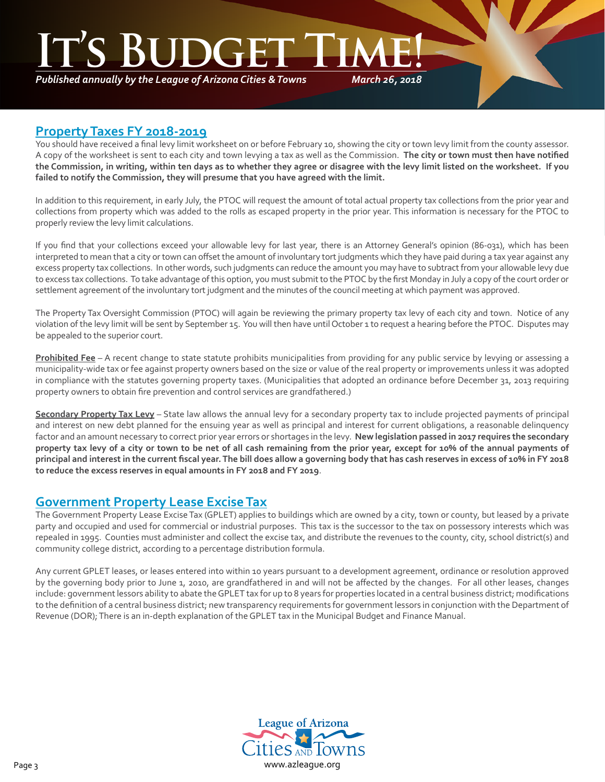*Published annually by the League of Arizona Cities & Towns*

*March 26, 2018*

### **Property Taxes FY 2018-2019**

٦

You should have received a final levy limit worksheet on or before February 10, showing the city or town levy limit from the county assessor. A copy of the worksheet is sent to each city and town levying a tax as well as the Commission. **The city or town must then have notified the Commission, in writing, within ten days as to whether they agree or disagree with the levy limit listed on the worksheet. If you failed to notify the Commission, they will presume that you have agreed with the limit.**

In addition to this requirement, in early July, the PTOC will request the amount of total actual property tax collections from the prior year and collections from property which was added to the rolls as escaped property in the prior year. This information is necessary for the PTOC to properly review the levy limit calculations.

If you find that your collections exceed your allowable levy for last year, there is an Attorney General's opinion (86-031), which has been interpreted to mean that a city or town can offset the amount of involuntary tort judgments which they have paid during a tax year against any excess property tax collections. In other words, such judgments can reduce the amount you may have to subtract from your allowable levy due to excess tax collections. To take advantage of this option, you must submit to the PTOC by the first Monday in July a copy of the court order or settlement agreement of the involuntary tort judgment and the minutes of the council meeting at which payment was approved.

The Property Tax Oversight Commission (PTOC) will again be reviewing the primary property tax levy of each city and town. Notice of any violation of the levy limit will be sent by September 15. You will then have until October 1 to request a hearing before the PTOC. Disputes may be appealed to the superior court.

**Prohibited Fee** – A recent change to state statute prohibits municipalities from providing for any public service by levying or assessing a municipality-wide tax or fee against property owners based on the size or value of the real property or improvements unless it was adopted in compliance with the statutes governing property taxes. (Municipalities that adopted an ordinance before December 31, 2013 requiring property owners to obtain fire prevention and control services are grandfathered.)

**Secondary Property Tax Levy** – State law allows the annual levy for a secondary property tax to include projected payments of principal and interest on new debt planned for the ensuing year as well as principal and interest for current obligations, a reasonable delinquency factor and an amount necessary to correct prior year errors or shortages in the levy. **New legislation passed in 2017 requires the secondary property tax levy of a city or town to be net of all cash remaining from the prior year, except for 10% of the annual payments of principal and interest in the current fiscal year. The bill does allow a governing body that has cash reserves in excess of 10% in FY 2018 to reduce the excess reserves in equal amounts in FY 2018 and FY 2019**.

## **Government Property Lease Excise Tax**

The Government Property Lease Excise Tax (GPLET) applies to buildings which are owned by a city, town or county, but leased by a private party and occupied and used for commercial or industrial purposes. This tax is the successor to the tax on possessory interests which was repealed in 1995. Counties must administer and collect the excise tax, and distribute the revenues to the county, city, school district(s) and community college district, according to a percentage distribution formula.

Any current GPLET leases, or leases entered into within 10 years pursuant to a development agreement, ordinance or resolution approved by the governing body prior to June 1, 2010, are grandfathered in and will not be affected by the changes. For all other leases, changes include: government lessors ability to abate the GPLET tax for up to 8 years for properties located in a central business district; modifications to the definition of a central business district; new transparency requirements for government lessors in conjunction with the Department of Revenue (DOR); There is an in-depth explanation of the GPLET tax in the Municipal Budget and Finance Manual.

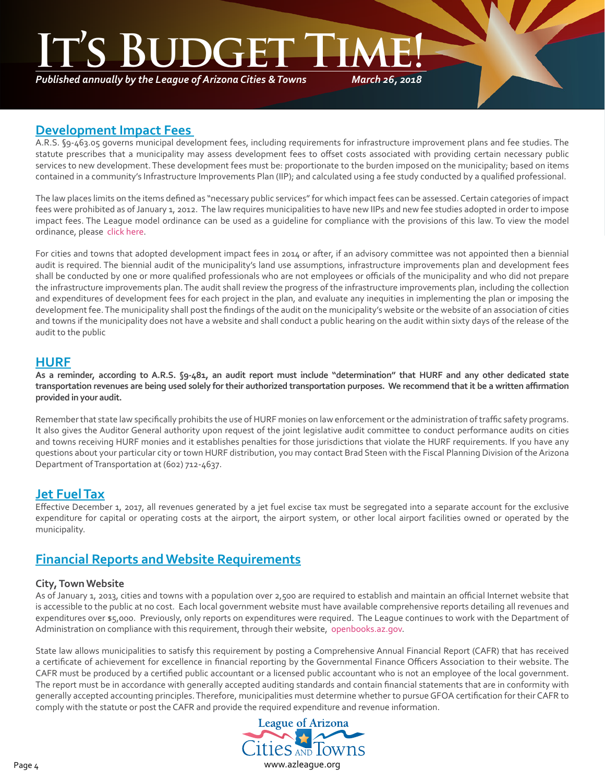# **S BUDGE**

*Published annually by the League of Arizona Cities & Towns*

*March 26, 2018*

### **Development Impact Fees**

A.R.S. §9-463.05 governs municipal development fees, including requirements for infrastructure improvement plans and fee studies. The statute prescribes that a municipality may assess development fees to offset costs associated with providing certain necessary public services to new development. These development fees must be: proportionate to the burden imposed on the municipality; based on items contained in a community's Infrastructure Improvements Plan (IIP); and calculated using a fee study conducted by a qualified professional.

The law places limits on the items defined as "necessary public services" for which impact fees can be assessed. Certain categories of impact fees were prohibited as of January 1, 2012. The law requires municipalities to have new IIPs and new fee studies adopted in order to impose impact fees. The League model ordinance can be used as a guideline for compliance with the provisions of this law. To view the model ordinance, please [click here](http://az-lact.civicplus.com/DocumentCenter/View/1708).

For cities and towns that adopted development impact fees in 2014 or after, if an advisory committee was not appointed then a biennial audit is required. The biennial audit of the municipality's land use assumptions, infrastructure improvements plan and development fees shall be conducted by one or more qualified professionals who are not employees or officials of the municipality and who did not prepare the infrastructure improvements plan. The audit shall review the progress of the infrastructure improvements plan, including the collection and expenditures of development fees for each project in the plan, and evaluate any inequities in implementing the plan or imposing the development fee. The municipality shall post the findings of the audit on the municipality's website or the website of an association of cities and towns if the municipality does not have a website and shall conduct a public hearing on the audit within sixty days of the release of the audit to the public

## **HURF**

٦

**As a reminder, according to A.R.S. §9-481, an audit report must include "determination" that HURF and any other dedicated state transportation revenues are being used solely for their authorized transportation purposes. We recommend that it be a written affirmation provided in your audit.**

Remember that state law specifically prohibits the use of HURF monies on law enforcement or the administration of traffic safety programs. It also gives the Auditor General authority upon request of the joint legislative audit committee to conduct performance audits on cities and towns receiving HURF monies and it establishes penalties for those jurisdictions that violate the HURF requirements. If you have any questions about your particular city or town HURF distribution, you may contact Brad Steen with the Fiscal Planning Division of the Arizona Department of Transportation at (602) 712-4637.

## **Jet Fuel Tax**

Effective December 1, 2017, all revenues generated by a jet fuel excise tax must be segregated into a separate account for the exclusive expenditure for capital or operating costs at the airport, the airport system, or other local airport facilities owned or operated by the municipality.

## **Financial Reports and Website Requirements**

#### **City, Town Website**

As of January 1, 2013, cities and towns with a population over 2,500 are required to establish and maintain an official Internet website that is accessible to the public at no cost. Each local government website must have available comprehensive reports detailing all revenues and expenditures over \$5,000. Previously, only reports on expenditures were required. The League continues to work with the Department of Administration on compliance with this requirement, through their website, [openbooks.az.gov](http://openbooks.az.gov).

State law allows municipalities to satisfy this requirement by posting a Comprehensive Annual Financial Report (CAFR) that has received a certificate of achievement for excellence in financial reporting by the Governmental Finance Officers Association to their website. The CAFR must be produced by a certified public accountant or a licensed public accountant who is not an employee of the local government. The report must be in accordance with generally accepted auditing standards and contain financial statements that are in conformity with generally accepted accounting principles. Therefore, municipalities must determine whether to pursue GFOA certification for their CAFR to comply with the statute or post the CAFR and provide the required expenditure and revenue information.

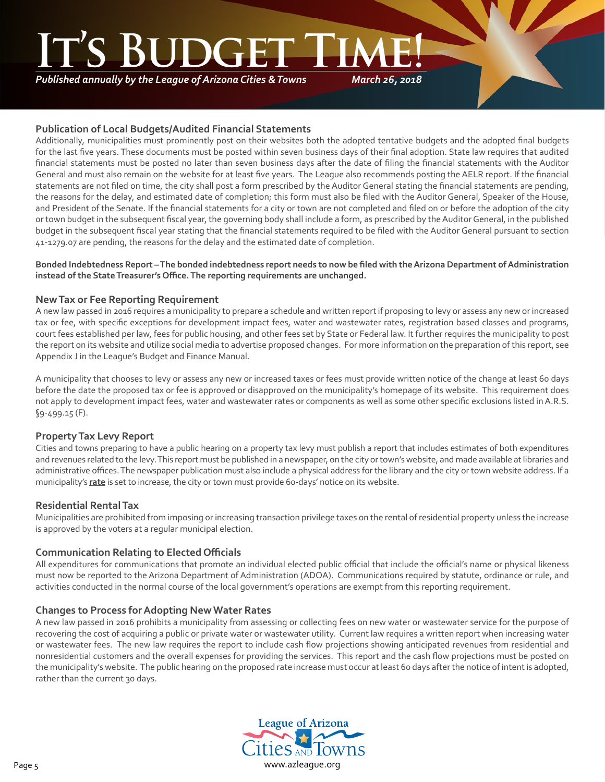# **SIBGE**

*Published annually by the League of Arizona Cities & Towns*

*March 26, 2018*

#### **Publication of Local Budgets/Audited Financial Statements**

Additionally, municipalities must prominently post on their websites both the adopted tentative budgets and the adopted final budgets for the last five years. These documents must be posted within seven business days of their final adoption. State law requires that audited financial statements must be posted no later than seven business days after the date of filing the financial statements with the Auditor General and must also remain on the website for at least five years. The League also recommends posting the AELR report. If the financial statements are not filed on time, the city shall post a form prescribed by the Auditor General stating the financial statements are pending, the reasons for the delay, and estimated date of completion; this form must also be filed with the Auditor General, Speaker of the House, and President of the Senate. If the financial statements for a city or town are not completed and filed on or before the adoption of the city or town budget in the subsequent fiscal year, the governing body shall include a form, as prescribed by the Auditor General, in the published budget in the subsequent fiscal year stating that the financial statements required to be filed with the Auditor General pursuant to section 41-1279.07 are pending, the reasons for the delay and the estimated date of completion.

#### **Bonded Indebtedness Report – The bonded indebtedness report needs to now be filed with the Arizona Department of Administration instead of the State Treasurer's Office. The reporting requirements are unchanged.**

#### **New Tax or Fee Reporting Requirement**

A new law passed in 2016 requires a municipality to prepare a schedule and written report if proposing to levy or assess any new or increased tax or fee, with specific exceptions for development impact fees, water and wastewater rates, registration based classes and programs, court fees established per law, fees for public housing, and other fees set by State or Federal law. It further requires the municipality to post the report on its website and utilize social media to advertise proposed changes. For more information on the preparation of this report, see Appendix J in the League's Budget and Finance Manual.

A municipality that chooses to levy or assess any new or increased taxes or fees must provide written notice of the change at least 60 days before the date the proposed tax or fee is approved or disapproved on the municipality's homepage of its website. This requirement does not apply to development impact fees, water and wastewater rates or components as well as some other specific exclusions listed in A.R.S. §9-499.15 (F).

#### **Property Tax Levy Report**

Cities and towns preparing to have a public hearing on a property tax levy must publish a report that includes estimates of both expenditures and revenues related to the levy. This report must be published in a newspaper, on the city or town's website, and made available at libraries and administrative offices. The newspaper publication must also include a physical address for the library and the city or town website address. If a municipality's **rate** is set to increase, the city or town must provide 60-days' notice on its website.

#### **Residential Rental Tax**

Municipalities are prohibited from imposing or increasing transaction privilege taxes on the rental of residential property unless the increase is approved by the voters at a regular municipal election.

#### **Communication Relating to Elected Officials**

All expenditures for communications that promote an individual elected public official that include the official's name or physical likeness must now be reported to the Arizona Department of Administration (ADOA). Communications required by statute, ordinance or rule, and activities conducted in the normal course of the local government's operations are exempt from this reporting requirement.

#### **Changes to Process for Adopting New Water Rates**

A new law passed in 2016 prohibits a municipality from assessing or collecting fees on new water or wastewater service for the purpose of recovering the cost of acquiring a public or private water or wastewater utility. Current law requires a written report when increasing water or wastewater fees. The new law requires the report to include cash flow projections showing anticipated revenues from residential and nonresidential customers and the overall expenses for providing the services. This report and the cash flow projections must be posted on the municipality's website. The public hearing on the proposed rate increase must occur at least 60 days after the notice of intent is adopted, rather than the current 30 days.

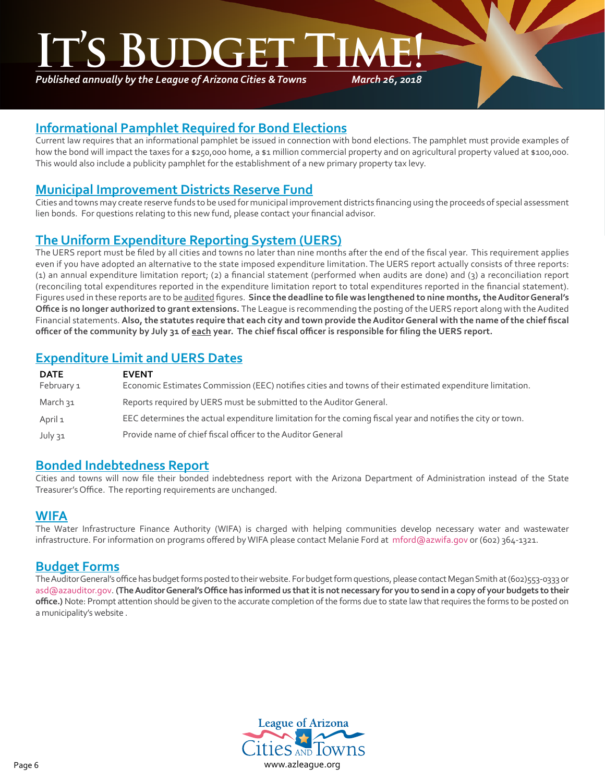*Published annually by the League of Arizona Cities & Towns*

*March 26, 2018*

## **Informational Pamphlet Required for Bond Elections**

Current law requires that an informational pamphlet be issued in connection with bond elections. The pamphlet must provide examples of how the bond will impact the taxes for a \$250,000 home, a \$1 million commercial property and on agricultural property valued at \$100,000. This would also include a publicity pamphlet for the establishment of a new primary property tax levy.

## **Municipal Improvement Districts Reserve Fund**

Cities and towns may create reserve funds to be used for municipal improvement districts financing using the proceeds of special assessment lien bonds. For questions relating to this new fund, please contact your financial advisor.

# **The Uniform Expenditure Reporting System (UERS)**

The UERS report must be filed by all cities and towns no later than nine months after the end of the fiscal year. This requirement applies even if you have adopted an alternative to the state imposed expenditure limitation. The UERS report actually consists of three reports: (1) an annual expenditure limitation report; (2) a financial statement (performed when audits are done) and (3) a reconciliation report (reconciling total expenditures reported in the expenditure limitation report to total expenditures reported in the financial statement). Figures used in these reports are to be audited figures. **Since the deadline to file was lengthened to nine months, the Auditor General's Office is no longer authorized to grant extensions.** The League is recommending the posting of the UERS report along with the Audited Financial statements. **Also, the statutes require that each city and town provide the Auditor General with the name of the chief fiscal officer of the community by July 31 of each year. The chief fiscal officer is responsible for filing the UERS report.**

## **Expenditure Limit and UERS Dates**

| <b>DATE</b><br>February 1 | <b>EVENT</b><br>Economic Estimates Commission (EEC) notifies cities and towns of their estimated expenditure limitation. |
|---------------------------|--------------------------------------------------------------------------------------------------------------------------|
| March วฺ1                 | Reports required by UERS must be submitted to the Auditor General.                                                       |
| April 1                   | EEC determines the actual expenditure limitation for the coming fiscal year and notifies the city or town.               |
| July 31                   | Provide name of chief fiscal officer to the Auditor General                                                              |

## **Bonded Indebtedness Report**

Cities and towns will now file their bonded indebtedness report with the Arizona Department of Administration instead of the State Treasurer's Office. The reporting requirements are unchanged.

### **WIFA**

٦

The Water Infrastructure Finance Authority (WIFA) is charged with helping communities develop necessary water and wastewater infrastructure. For information on programs offered by WIFA please contact Melanie Ford at mford@azwifa.gov or (602) 364-1321.

## **Budget Forms**

The Auditor General's office has budget forms posted to their website. For budget form questions, please contact Megan Smith at (602)553-0333 or asd@azauditor.gov. **(The Auditor General's Office has informed us that it is not necessary for you to send in a copy of your budgets to their office.)** Note: Prompt attention should be given to the accurate completion of the forms due to state law that requires the forms to be posted on a municipality's website .

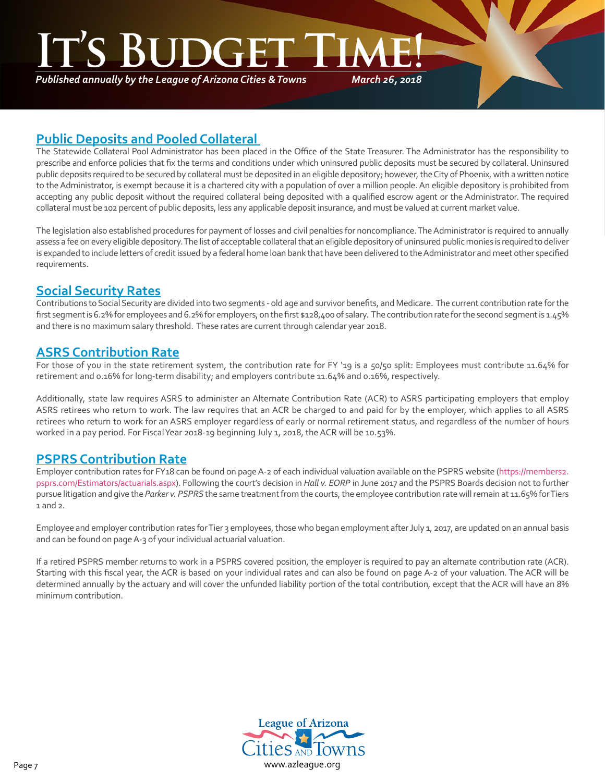# **ITE'**

*Published annually by the League of Arizona Cities & Towns*

*March 26, 2018*

## **Public Deposits and Pooled Collateral**

The Statewide Collateral Pool Administrator has been placed in the Office of the State Treasurer. The Administrator has the responsibility to prescribe and enforce policies that fix the terms and conditions under which uninsured public deposits must be secured by collateral. Uninsured public deposits required to be secured by collateral must be deposited in an eligible depository; however, the City of Phoenix, with a written notice to the Administrator, is exempt because it is a chartered city with a population of over a million people. An eligible depository is prohibited from accepting any public deposit without the required collateral being deposited with a qualified escrow agent or the Administrator. The required collateral must be 102 percent of public deposits, less any applicable deposit insurance, and must be valued at current market value.

The legislation also established procedures for payment of losses and civil penalties for noncompliance. The Administrator is required to annually assess a fee on every eligible depository. The list of acceptable collateral that an eligible depository of uninsured public monies is required to deliver is expanded to include letters of credit issued by a federal home loan bank that have been delivered to the Administrator and meet other specified requirements.

## **Social Security Rates**

٦

Contributions to Social Security are divided into two segments - old age and survivor benefits, and Medicare. The current contribution rate for the first segment is 6.2% for employees and 6.2% for employers, on the first \$128,400 of salary. The contribution rate for the second segment is 1.45% and there is no maximum salary threshold. These rates are current through calendar year 2018.

## **ASRS Contribution Rate**

For those of you in the state retirement system, the contribution rate for FY '19 is a 50/50 split: Employees must contribute 11.64% for retirement and 0.16% for long-term disability; and employers contribute 11.64% and 0.16%, respectively.

Additionally, state law requires ASRS to administer an Alternate Contribution Rate (ACR) to ASRS participating employers that employ ASRS retirees who return to work. The law requires that an ACR be charged to and paid for by the employer, which applies to all ASRS retirees who return to work for an ASRS employer regardless of early or normal retirement status, and regardless of the number of hours worked in a pay period. For Fiscal Year 2018-19 beginning July 1, 2018, the ACR will be 10.53%.

## **PSPRS Contribution Rate**

Employer contribution rates for FY18 can be found on page A-2 of each individual valuation available on the PSPRS website [\(https://members2.](https://members2.psprs.com/Estimators/actuarials.aspx) [psprs.com/Estimators/actuarials.aspx\)](https://members2.psprs.com/Estimators/actuarials.aspx). Following the court's decision in *Hall v. EORP* in June 2017 and the PSPRS Boards decision not to further pursue litigation and give the *Parker v. PSPRS* the same treatment from the courts, the employee contribution rate will remain at 11.65% for Tiers 1 and 2.

Employee and employer contribution rates for Tier 3 employees, those who began employment after July 1, 2017, are updated on an annual basis and can be found on page A-3 of your individual actuarial valuation.

If a retired PSPRS member returns to work in a PSPRS covered position, the employer is required to pay an alternate contribution rate (ACR). Starting with this fiscal year, the ACR is based on your individual rates and can also be found on page A-2 of your valuation. The ACR will be determined annually by the actuary and will cover the unfunded liability portion of the total contribution, except that the ACR will have an 8% minimum contribution.

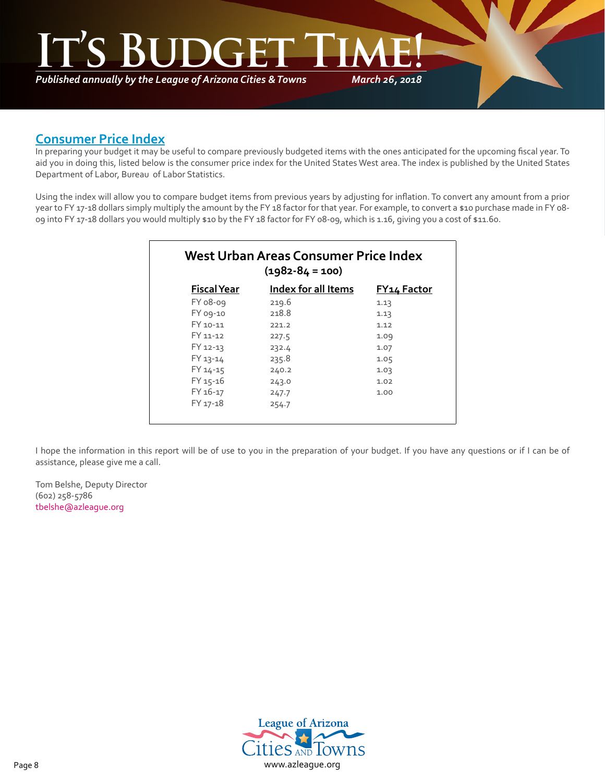*March 26, 2018* **It's Budget Time!**

*Published annually by the League of Arizona Cities & Towns*

## **Consumer Price Index**

٦

In preparing your budget it may be useful to compare previously budgeted items with the ones anticipated for the upcoming fiscal year. To aid you in doing this, listed below is the consumer price index for the United States West area. The index is published by the United States Department of Labor, Bureau of Labor Statistics.

Using the index will allow you to compare budget items from previous years by adjusting for inflation. To convert any amount from a prior year to FY 17-18 dollars simply multiply the amount by the FY 18 factor for that year. For example, to convert a \$10 purchase made in FY 08-09 into FY 17-18 dollars you would multiply \$10 by the FY 18 factor for FY 08-09, which is 1.16, giving you a cost of \$11.60.

| $(1982 - 84 = 100)$ |                            |                    |  |  |
|---------------------|----------------------------|--------------------|--|--|
| <b>Fiscal Year</b>  | <b>Index for all Items</b> | <b>FY14 Factor</b> |  |  |
| FY 08-09            | 219.6                      | 1.13               |  |  |
| FY 09-10            | 218.8                      | 1.13               |  |  |
| FY 10-11            | 221.2                      | 1.12               |  |  |
| FY 11-12            | 227.5                      | 1.09               |  |  |
| FY 12-13            | 232.4                      | 1.07               |  |  |
| FY 13-14            | 235.8                      | 1.05               |  |  |
| FY 14-15            | 240.2                      | 1.03               |  |  |
| FY 15-16            | 243.0                      | 1.02               |  |  |
| FY 16-17            | 247.7                      | 1.00               |  |  |
| FY 17-18            | 254.7                      |                    |  |  |

I hope the information in this report will be of use to you in the preparation of your budget. If you have any questions or if I can be of assistance, please give me a call.

Tom Belshe, Deputy Director (602) 258-5786 [tbelshe@azleague.org](mailto:tbelshe@azleague.org)

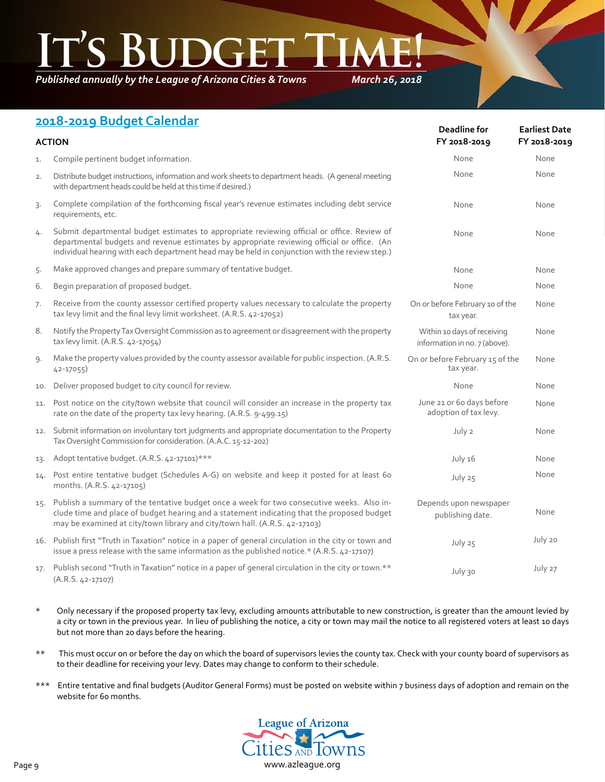*Published annually by the League of Arizona Cities & Towns*

*March 26, 2018*

## **2018-2019 Budget Calendar**

| <b>ACTION</b> |                                                                                                                                                                                                                                                                                              | <b>Deadline for</b><br>FY 2018-2019                          | <b>Earliest Date</b><br>FY 2018-2019 |  |
|---------------|----------------------------------------------------------------------------------------------------------------------------------------------------------------------------------------------------------------------------------------------------------------------------------------------|--------------------------------------------------------------|--------------------------------------|--|
| 1.            | Compile pertinent budget information.                                                                                                                                                                                                                                                        | None                                                         | None                                 |  |
| 2.            | Distribute budget instructions, information and work sheets to department heads. (A general meeting<br>with department heads could be held at this time if desired.)                                                                                                                         | None                                                         | None                                 |  |
| 3.            | Complete compilation of the forthcoming fiscal year's revenue estimates including debt service<br>requirements, etc.                                                                                                                                                                         | None                                                         | None                                 |  |
| 4.            | Submit departmental budget estimates to appropriate reviewing official or office. Review of<br>departmental budgets and revenue estimates by appropriate reviewing official or office. (An<br>individual hearing with each department head may be held in conjunction with the review step.) | None                                                         | None                                 |  |
| 5.            | Make approved changes and prepare summary of tentative budget.                                                                                                                                                                                                                               | None                                                         | None                                 |  |
| 6.            | Begin preparation of proposed budget.                                                                                                                                                                                                                                                        | None                                                         | None                                 |  |
| 7.            | Receive from the county assessor certified property values necessary to calculate the property<br>tax levy limit and the final levy limit worksheet. (A.R.S. 42-17052)                                                                                                                       | On or before February 10 of the<br>tax year.                 | None                                 |  |
| 8.            | Notify the Property Tax Oversight Commission as to agreement or disagreement with the property<br>tax levy limit. (A.R.S. 42-17054)                                                                                                                                                          | Within 10 days of receiving<br>information in no. 7 (above). | None                                 |  |
| 9.            | Make the property values provided by the county assessor available for public inspection. (A.R.S.<br>42-17055)                                                                                                                                                                               | On or before February 15 of the<br>tax year.                 | None                                 |  |
| 10.           | Deliver proposed budget to city council for review.                                                                                                                                                                                                                                          | None                                                         | None                                 |  |
| 11.           | Post notice on the city/town website that council will consider an increase in the property tax<br>rate on the date of the property tax levy hearing. (A.R.S. 9-499.15)                                                                                                                      | June 21 or 60 days before<br>adoption of tax levy.           | None                                 |  |
| 12.           | Submit information on involuntary tort judgments and appropriate documentation to the Property<br>Tax Oversight Commission for consideration. (A.A.C. 15-12-202)                                                                                                                             | July 2                                                       | None                                 |  |
| 13.           | Adopt tentative budget. (A.R.S. 42-17101)***                                                                                                                                                                                                                                                 | July 16                                                      | None                                 |  |
| 14.           | Post entire tentative budget (Schedules A-G) on website and keep it posted for at least 60<br>months. (A.R.S. 42-17105)                                                                                                                                                                      | July 25                                                      | None                                 |  |
|               | 15. Publish a summary of the tentative budget once a week for two consecutive weeks. Also in-<br>clude time and place of budget hearing and a statement indicating that the proposed budget<br>may be examined at city/town library and city/town hall. (A.R.S. 42-17103)                    | Depends upon newspaper<br>publishing date.                   | None                                 |  |
|               | 16. Publish first "Truth in Taxation" notice in a paper of general circulation in the city or town and<br>issue a press release with the same information as the published notice.* (A.R.S. 42-17107)                                                                                        | July 25                                                      | July 20                              |  |
|               | 17. Publish second "Truth in Taxation" notice in a paper of general circulation in the city or town.**<br>$(A.R.S. 42-17107)$                                                                                                                                                                | July 30                                                      | July 27                              |  |

- \* Only necessary if the proposed property tax levy, excluding amounts attributable to new construction, is greater than the amount levied by a city or town in the previous year. In lieu of publishing the notice, a city or town may mail the notice to all registered voters at least 10 days but not more than 20 days before the hearing.
- \*\* This must occur on or before the day on which the board of supervisors levies the county tax. Check with your county board of supervisors as to their deadline for receiving your levy. Dates may change to conform to their schedule.
- \*\*\* Entire tentative and final budgets (Auditor General Forms) must be posted on website within 7 business days of adoption and remain on the website for 60 months.